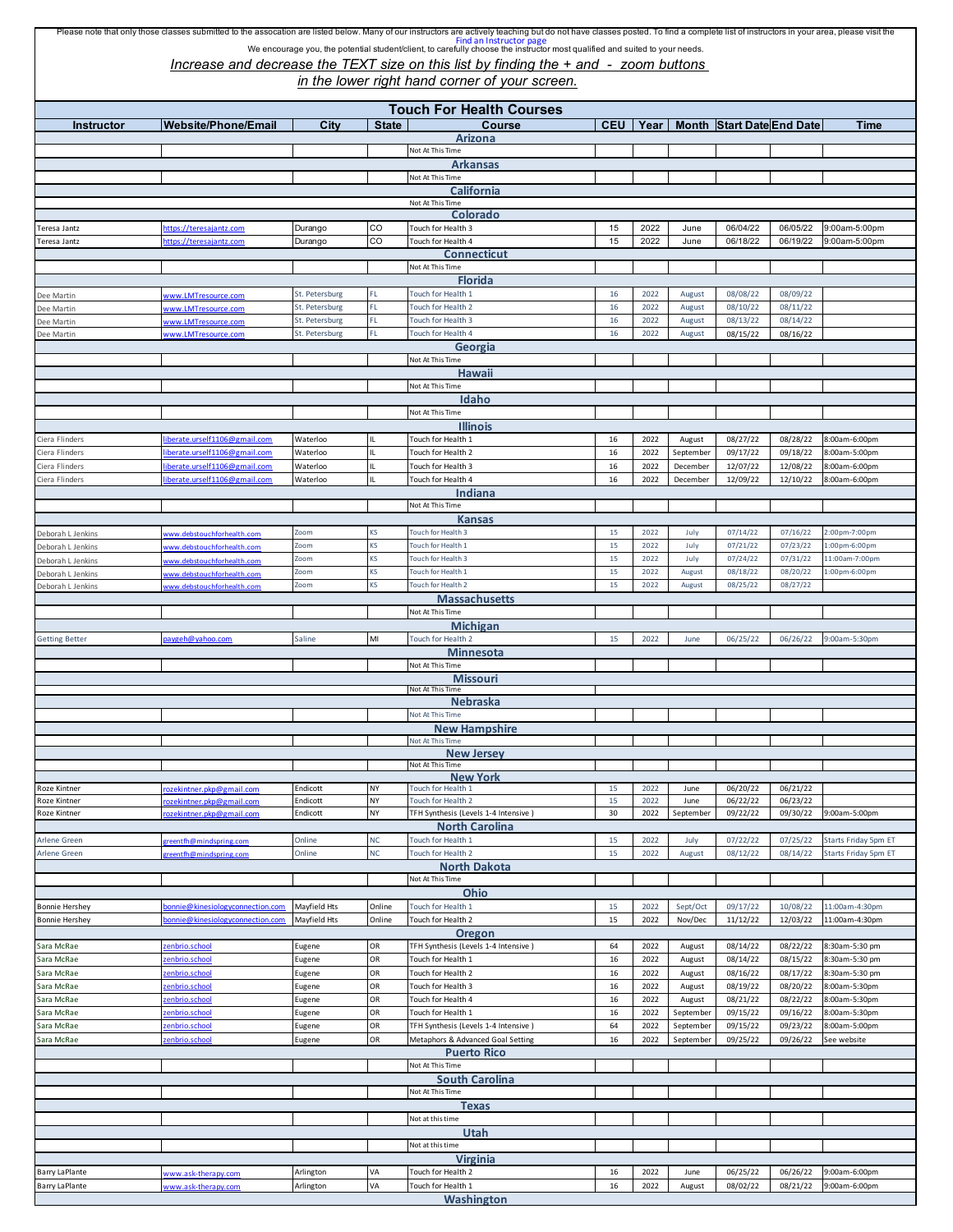## Please note that only those classes submitted to the assocation are listed below. Many of our instructors are actively teaching but do not have classes posted. To find a complete list of instructors in your area, please vi We encourage you, the potential student/client, to carefully choose the instructor most qualified and suited to your needs.

*Increase and decrease the TEXT size on this list by finding the + and - zoom buttons* 

*in the lower right hand corner of your screen.*

| <b>Instructor</b>                              | <b>Website/Phone/Email</b>                                         | City                             | <b>State</b>     | <b>Touch For Health Courses</b><br>Course               |          |              |                     | CEU   Year   Month   Start Date End Date |                      | Time                                         |
|------------------------------------------------|--------------------------------------------------------------------|----------------------------------|------------------|---------------------------------------------------------|----------|--------------|---------------------|------------------------------------------|----------------------|----------------------------------------------|
|                                                |                                                                    |                                  |                  | Arizona                                                 |          |              |                     |                                          |                      |                                              |
|                                                |                                                                    |                                  |                  | Not At This Time                                        |          |              |                     |                                          |                      |                                              |
|                                                |                                                                    |                                  |                  | <b>Arkansas</b>                                         |          |              |                     |                                          |                      |                                              |
|                                                |                                                                    |                                  |                  | Not At This Time<br>California                          |          |              |                     |                                          |                      |                                              |
| Not At This Time                               |                                                                    |                                  |                  |                                                         |          |              |                     |                                          |                      |                                              |
|                                                |                                                                    |                                  |                  | Colorado                                                |          |              |                     |                                          |                      |                                              |
| Teresa Jantz                                   | https://teresajantz.com                                            | Durango                          | CO<br>CO         | Touch for Health 3                                      | 15<br>15 | 2022<br>2022 | June                | 06/04/22                                 | 06/05/22<br>06/19/22 | 9:00am-5:00pm                                |
| Teresa Jantz                                   | https://teresajantz.com                                            | Durango                          |                  | Touch for Health 4<br><b>Connecticut</b>                |          |              | June                | 06/18/22                                 |                      | 9:00am-5:00pm                                |
| Not At This Time                               |                                                                    |                                  |                  |                                                         |          |              |                     |                                          |                      |                                              |
|                                                |                                                                    |                                  |                  | <b>Florida</b>                                          |          |              |                     |                                          |                      |                                              |
| Dee Martin                                     | www.LMTresource.com                                                | St. Petersburg<br>St. Petersburg | FL<br>FL.        | Touch for Health 1<br>Touch for Health 2                | 16<br>16 | 2022<br>2022 | August<br>August    | 08/08/22<br>08/10/22                     | 08/09/22<br>08/11/22 |                                              |
| Dee Martin<br>Dee Martin                       | vww.LMTresource.com<br>www.LMTresource.com                         | St. Petersburg                   | FL               | Touch for Health 3                                      | 16       | 2022         | August              | 08/13/22                                 | 08/14/22             |                                              |
| Dee Martin                                     | www. <u>LMTresource.com</u>                                        | St. Petersburg                   | FL               | Touch for Health 4                                      | 16       | 2022         | August              | 08/15/22                                 | 08/16/22             |                                              |
|                                                |                                                                    |                                  |                  | Georgia                                                 |          |              |                     |                                          |                      |                                              |
| Not At This Time<br>Hawaii                     |                                                                    |                                  |                  |                                                         |          |              |                     |                                          |                      |                                              |
|                                                |                                                                    |                                  |                  | Not At This Time                                        |          |              |                     |                                          |                      |                                              |
|                                                |                                                                    |                                  |                  | Idaho                                                   |          |              |                     |                                          |                      |                                              |
|                                                |                                                                    |                                  |                  | Not At This Time                                        |          |              |                     |                                          |                      |                                              |
| Ciera Flinders                                 | berate.urself1106@gmail.com                                        | Waterloo                         |                  | <b>Illinois</b><br>Touch for Health 1                   | 16       | 2022         | August              | 08/27/22                                 | 08/28/22             | 8:00am-6:00pm                                |
| Ciera Flinders                                 | berate.urself1106@gmail.com                                        | Waterloo                         |                  | Touch for Health 2                                      | $16\,$   | 2022         | September           | 09/17/22                                 | 09/18/22             | 8:00am-5:00pm                                |
| Ciera Flinders                                 | iberate.urself1106@gmail.com                                       | Waterloo                         |                  | Touch for Health 3                                      | $16\,$   | 2022         | December            | 12/07/22                                 | 12/08/22             | 8:00am-6:00pm                                |
| Ciera Flinders                                 | liberate.urself1106@gmail.com                                      | Waterloo                         | Ш                | Touch for Health 4                                      | 16       | 2022         | December            | 12/09/22                                 | 12/10/22             | 8:00am-6:00pm                                |
|                                                |                                                                    |                                  |                  | Indiana<br>Not At This Time                             |          |              |                     |                                          |                      |                                              |
|                                                |                                                                    |                                  |                  | <b>Kansas</b>                                           |          |              |                     |                                          |                      |                                              |
| Deborah L Jenkins                              | www.debstouchforhealth.com                                         | Zoom                             | KS               | Touch for Health 3                                      | 15       | 2022         | July                | 07/14/22                                 | 07/16/22             | 2:00pm-7:00pm                                |
| Deborah L Jenkins                              | ww.debstouchforhealth.com                                          | Zoom                             | KS               | Touch for Health 1                                      | 15       | 2022         | July                | 07/21/22                                 | 07/23/22             | 1:00pm-6:00pm                                |
| Deborah L Jenkins                              | ww.debstouchforhealth.com                                          | Zoom                             | KS               | Touch for Health 3                                      | 15       | 2022         | July                | 07/24/22                                 | 07/31/22             | 11:00am-7:00pm                               |
| Deborah L Jenkins<br>Deborah L Jenkins         | ww.debstouchforhealth.com<br>ww.debstouchforhealth.com             | Zoom<br>Zoom                     | KS<br>KS         | Touch for Health 1<br>Touch for Health 2                | 15<br>15 | 2022<br>2022 | August<br>August    | 08/18/22<br>08/25/22                     | 08/20/22<br>08/27/22 | 1:00pm-6:00pm                                |
|                                                |                                                                    |                                  |                  | <b>Massachusetts</b>                                    |          |              |                     |                                          |                      |                                              |
|                                                |                                                                    |                                  |                  | Not At This Time                                        |          |              |                     |                                          |                      |                                              |
|                                                |                                                                    |                                  |                  | <b>Michigan</b>                                         |          |              |                     |                                          |                      |                                              |
| <b>Getting Better</b>                          | aygeh@yahoo.com                                                    | Saline                           | MI               | Touch for Health 2<br><b>Minnesota</b>                  | 15       | 2022         | June                | 06/25/22                                 | 06/26/22             | 9:00am-5:30pm                                |
|                                                |                                                                    |                                  |                  | Not At This Time                                        |          |              |                     |                                          |                      |                                              |
|                                                |                                                                    |                                  |                  | <b>Missouri</b>                                         |          |              |                     |                                          |                      |                                              |
|                                                |                                                                    |                                  |                  | Not At This Time<br><b>Nebraska</b>                     |          |              |                     |                                          |                      |                                              |
|                                                |                                                                    |                                  |                  | Not At This Time                                        |          |              |                     |                                          |                      |                                              |
|                                                |                                                                    |                                  |                  | <b>New Hampshire</b>                                    |          |              |                     |                                          |                      |                                              |
|                                                |                                                                    |                                  |                  | Not At This Time<br><b>New Jersey</b>                   |          |              |                     |                                          |                      |                                              |
|                                                |                                                                    |                                  |                  | Not At This Time                                        |          |              |                     |                                          |                      |                                              |
|                                                |                                                                    |                                  |                  | <b>New York</b>                                         |          |              |                     |                                          |                      |                                              |
| Roze Kintner<br>Roze Kintner                   | ozekintner.pkp@gmail.com<br>ozekintner.pkp@gmail.com               | Endicott<br>Endicott             | NY<br>NY         | Touch for Health 1<br>Touch for Health 2                | 15<br>15 | 2022<br>2022 | June<br>June        | 06/20/22<br>06/22/22                     | 06/21/22<br>06/23/22 |                                              |
| Roze Kintner                                   | ozekintner.pkp@gmail.com                                           | Endicott                         | NY               | TFH Synthesis (Levels 1-4 Intensive)                    | 30       | 2022         | September           | 09/22/22                                 | 09/30/22             | 9:00am-5:00pm                                |
|                                                |                                                                    |                                  |                  | <b>North Carolina</b>                                   |          |              |                     |                                          |                      |                                              |
| Arlene Green<br>Arlene Green                   | reentfh@mindspring.com<br>greentfh@mindspring.com                  | Online<br>Online                 | <b>NC</b><br>NC. | Touch for Health 1<br>Touch for Health 2                | 15<br>15 | 2022<br>2022 | July<br>August      | 07/22/22<br>08/12/22                     | 07/25/22<br>08/14/22 | Starts Friday 5pm ET<br>Starts Friday 5pm ET |
|                                                |                                                                    |                                  |                  | <b>North Dakota</b>                                     |          |              |                     |                                          |                      |                                              |
|                                                |                                                                    |                                  |                  | Not At This Time                                        |          |              |                     |                                          |                      |                                              |
|                                                |                                                                    |                                  |                  | Ohio                                                    |          |              |                     |                                          |                      |                                              |
| <b>Bonnie Hershey</b><br><b>Bonnie Hershey</b> | onnie@kinesiologyconnection.com<br>onnie@kinesiologyconnection.com | Mayfield Hts<br>Mayfield Hts     | Online<br>Online | Touch for Health 1<br>Touch for Health 2                | 15<br>15 | 2022<br>2022 | Sept/Oct<br>Nov/Dec | 09/17/22<br>11/12/22                     | 10/08/22<br>12/03/22 | 11:00am-4:30pm<br>11:00am-4:30pm             |
|                                                |                                                                    |                                  |                  | <b>Oregon</b>                                           |          |              |                     |                                          |                      |                                              |
| Sara McRae                                     | enbrio.school                                                      | Eugene                           | OR               | TFH Synthesis (Levels 1-4 Intensive)                    | 64       | 2022         | August              | 08/14/22                                 | 08/22/22             | 8:30am-5:30 pm                               |
| Sara McRae                                     | enbrio.school                                                      | Eugene                           | OR               | Touch for Health 1                                      | 16       | 2022         | August              | 08/14/22                                 | 08/15/22             | 8:30am-5:30 pm                               |
| Sara McRae<br>Sara McRae                       | enbrio.school<br>enbrio.school                                     | Eugene<br>Eugene                 | OR<br>OR         | Touch for Health 2<br>Touch for Health 3                | 16<br>16 | 2022<br>2022 | August<br>August    | 08/16/22<br>08/19/22                     | 08/17/22<br>08/20/22 | 8:30am-5:30 pm<br>8:00am-5:30pm              |
| Sara McRae                                     | enbrio.school                                                      | Eugene                           | OR               | Touch for Health 4                                      | 16       | 2022         | August              | 08/21/22                                 | 08/22/22             | 8:00am-5:30pm                                |
| Sara McRae                                     | enbrio.school                                                      | Eugene                           | OR               | Touch for Health 1                                      | $16\,$   | 2022         | September           | 09/15/22                                 | 09/16/22             | 8:00am-5:30pm                                |
| Sara McRae                                     | enbrio.school                                                      | Eugene                           | OR               | TFH Synthesis (Levels 1-4 Intensive)                    | 64       | 2022         | September           | 09/15/22                                 | 09/23/22             | 8:00am-5:00pm                                |
| Sara McRae                                     | enbrio.school                                                      | Eugene                           | OR               | Metaphors & Advanced Goal Setting<br><b>Puerto Rico</b> | 16       | 2022         | September           | 09/25/22                                 | 09/26/22             | See website                                  |
|                                                |                                                                    |                                  |                  | Not At This Time                                        |          |              |                     |                                          |                      |                                              |
|                                                |                                                                    |                                  |                  | <b>South Carolina</b>                                   |          |              |                     |                                          |                      |                                              |
|                                                |                                                                    |                                  |                  | Not At This Time                                        |          |              |                     |                                          |                      |                                              |
|                                                |                                                                    |                                  |                  | <b>Texas</b><br>Not at this time                        |          |              |                     |                                          |                      |                                              |
|                                                |                                                                    |                                  |                  | Utah                                                    |          |              |                     |                                          |                      |                                              |
|                                                |                                                                    |                                  |                  | Not at this time                                        |          |              |                     |                                          |                      |                                              |
| <b>Virginia</b>                                |                                                                    |                                  |                  |                                                         |          |              |                     |                                          |                      |                                              |
| <b>Barry LaPlante</b>                          | www.ask-therapy.com                                                | Arlington                        | VA<br>VA         | Touch for Health 2                                      | 16       | 2022         | June                | 06/25/22                                 | 06/26/22             | 9:00am-6:00pm                                |
| Barry LaPlante                                 | www.ask-therapy.com                                                | Arlington                        |                  | Touch for Health 1                                      | 16       | 2022         | August              | 08/02/22                                 | 08/21/22             | 9:00am-6:00pm                                |